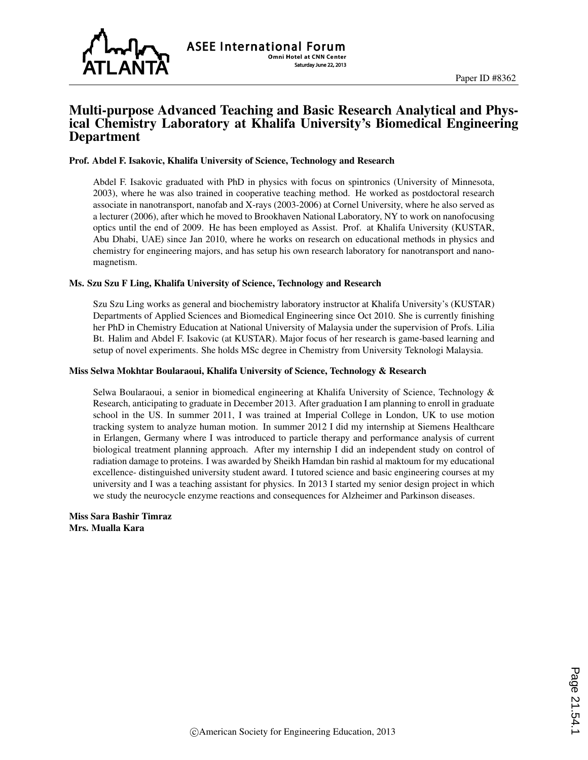

## Multi-purpose Advanced Teaching and Basic Research Analytical and Physical Chemistry Laboratory at Khalifa University's Biomedical Engineering Department

#### Prof. Abdel F. Isakovic, Khalifa University of Science, Technology and Research

Abdel F. Isakovic graduated with PhD in physics with focus on spintronics (University of Minnesota, 2003), where he was also trained in cooperative teaching method. He worked as postdoctoral research associate in nanotransport, nanofab and X-rays (2003-2006) at Cornel University, where he also served as a lecturer (2006), after which he moved to Brookhaven National Laboratory, NY to work on nanofocusing optics until the end of 2009. He has been employed as Assist. Prof. at Khalifa University (KUSTAR, Abu Dhabi, UAE) since Jan 2010, where he works on research on educational methods in physics and chemistry for engineering majors, and has setup his own research laboratory for nanotransport and nanomagnetism.

#### Ms. Szu Szu F Ling, Khalifa University of Science, Technology and Research

Szu Szu Ling works as general and biochemistry laboratory instructor at Khalifa University's (KUSTAR) Departments of Applied Sciences and Biomedical Engineering since Oct 2010. She is currently finishing her PhD in Chemistry Education at National University of Malaysia under the supervision of Profs. Lilia Bt. Halim and Abdel F. Isakovic (at KUSTAR). Major focus of her research is game-based learning and setup of novel experiments. She holds MSc degree in Chemistry from University Teknologi Malaysia.

#### Miss Selwa Mokhtar Boularaoui, Khalifa University of Science, Technology & Research

Selwa Boularaoui, a senior in biomedical engineering at Khalifa University of Science, Technology & Research, anticipating to graduate in December 2013. After graduation I am planning to enroll in graduate school in the US. In summer 2011, I was trained at Imperial College in London, UK to use motion tracking system to analyze human motion. In summer 2012 I did my internship at Siemens Healthcare in Erlangen, Germany where I was introduced to particle therapy and performance analysis of current biological treatment planning approach. After my internship I did an independent study on control of radiation damage to proteins. I was awarded by Sheikh Hamdan bin rashid al maktoum for my educational excellence- distinguished university student award. I tutored science and basic engineering courses at my university and I was a teaching assistant for physics. In 2013 I started my senior design project in which we study the neurocycle enzyme reactions and consequences for Alzheimer and Parkinson diseases.

Miss Sara Bashir Timraz Mrs. Mualla Kara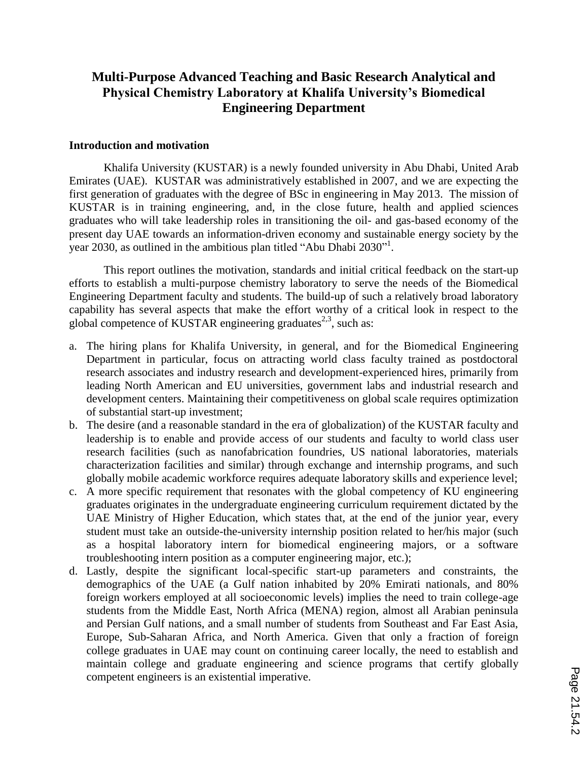# **Multi-Purpose Advanced Teaching and Basic Research Analytical and Physical Chemistry Laboratory at Khalifa University's Biomedical Engineering Department**

## **Introduction and motivation**

Khalifa University (KUSTAR) is a newly founded university in Abu Dhabi, United Arab Emirates (UAE). KUSTAR was administratively established in 2007, and we are expecting the first generation of graduates with the degree of BSc in engineering in May 2013. The mission of KUSTAR is in training engineering, and, in the close future, health and applied sciences graduates who will take leadership roles in transitioning the oil- and gas-based economy of the present day UAE towards an information-driven economy and sustainable energy society by the year 2030, as outlined in the ambitious plan titled "Abu Dhabi 2030"<sup>1</sup>.

This report outlines the motivation, standards and initial critical feedback on the start-up efforts to establish a multi-purpose chemistry laboratory to serve the needs of the Biomedical Engineering Department faculty and students. The build-up of such a relatively broad laboratory capability has several aspects that make the effort worthy of a critical look in respect to the global competence of KUSTAR engineering graduates<sup>2,3</sup>, such as:

- a. The hiring plans for Khalifa University, in general, and for the Biomedical Engineering Department in particular, focus on attracting world class faculty trained as postdoctoral research associates and industry research and development-experienced hires, primarily from leading North American and EU universities, government labs and industrial research and development centers. Maintaining their competitiveness on global scale requires optimization of substantial start-up investment;
- b. The desire (and a reasonable standard in the era of globalization) of the KUSTAR faculty and leadership is to enable and provide access of our students and faculty to world class user research facilities (such as nanofabrication foundries, US national laboratories, materials characterization facilities and similar) through exchange and internship programs, and such globally mobile academic workforce requires adequate laboratory skills and experience level;
- c. A more specific requirement that resonates with the global competency of KU engineering graduates originates in the undergraduate engineering curriculum requirement dictated by the UAE Ministry of Higher Education, which states that, at the end of the junior year, every student must take an outside-the-university internship position related to her/his major (such as a hospital laboratory intern for biomedical engineering majors, or a software troubleshooting intern position as a computer engineering major, etc.);
- d. Lastly, despite the significant local-specific start-up parameters and constraints, the demographics of the UAE (a Gulf nation inhabited by 20% Emirati nationals, and 80% foreign workers employed at all socioeconomic levels) implies the need to train college-age students from the Middle East, North Africa (MENA) region, almost all Arabian peninsula and Persian Gulf nations, and a small number of students from Southeast and Far East Asia, Europe, Sub-Saharan Africa, and North America. Given that only a fraction of foreign college graduates in UAE may count on continuing career locally, the need to establish and maintain college and graduate engineering and science programs that certify globally competent engineers is an existential imperative.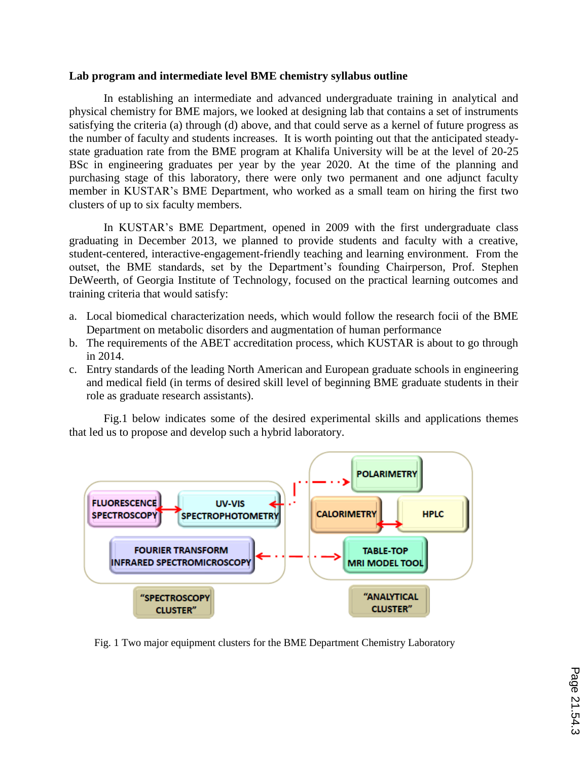## **Lab program and intermediate level BME chemistry syllabus outline**

In establishing an intermediate and advanced undergraduate training in analytical and physical chemistry for BME majors, we looked at designing lab that contains a set of instruments satisfying the criteria (a) through (d) above, and that could serve as a kernel of future progress as the number of faculty and students increases. It is worth pointing out that the anticipated steadystate graduation rate from the BME program at Khalifa University will be at the level of 20-25 BSc in engineering graduates per year by the year 2020. At the time of the planning and purchasing stage of this laboratory, there were only two permanent and one adjunct faculty member in KUSTAR's BME Department, who worked as a small team on hiring the first two clusters of up to six faculty members.

In KUSTAR's BME Department, opened in 2009 with the first undergraduate class graduating in December 2013, we planned to provide students and faculty with a creative, student-centered, interactive-engagement-friendly teaching and learning environment. From the outset, the BME standards, set by the Department's founding Chairperson, Prof. Stephen DeWeerth, of Georgia Institute of Technology, focused on the practical learning outcomes and training criteria that would satisfy:

- a. Local biomedical characterization needs, which would follow the research focii of the BME Department on metabolic disorders and augmentation of human performance
- b. The requirements of the ABET accreditation process, which KUSTAR is about to go through in 2014.
- c. Entry standards of the leading North American and European graduate schools in engineering and medical field (in terms of desired skill level of beginning BME graduate students in their role as graduate research assistants).

Fig.1 below indicates some of the desired experimental skills and applications themes that led us to propose and develop such a hybrid laboratory.



Fig. 1 Two major equipment clusters for the BME Department Chemistry Laboratory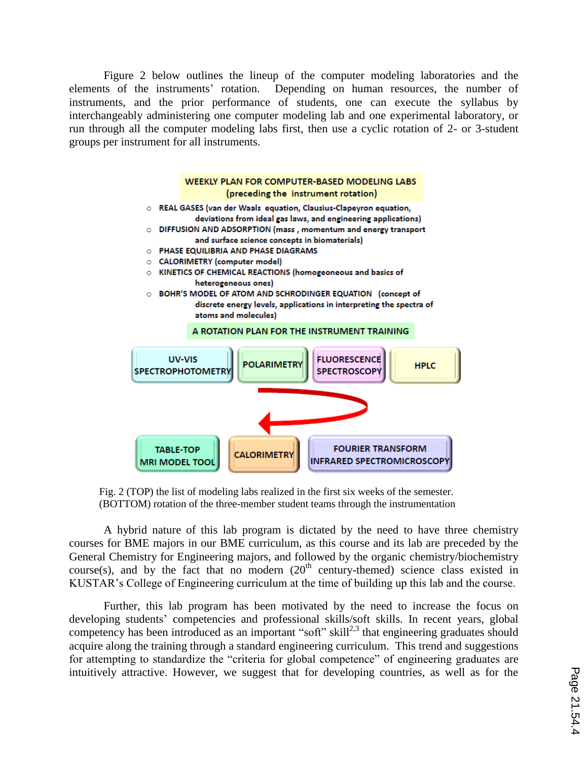Figure 2 below outlines the lineup of the computer modeling laboratories and the elements of the instruments' rotation. Depending on human resources, the number of instruments, and the prior performance of students, one can execute the syllabus by interchangeably administering one computer modeling lab and one experimental laboratory, or run through all the computer modeling labs first, then use a cyclic rotation of 2- or 3-student groups per instrument for all instruments.



Fig. 2 (TOP) the list of modeling labs realized in the first six weeks of the semester. (BOTTOM) rotation of the three-member student teams through the instrumentation

A hybrid nature of this lab program is dictated by the need to have three chemistry courses for BME majors in our BME curriculum, as this course and its lab are preceded by the General Chemistry for Engineering majors, and followed by the organic chemistry/biochemistry course(s), and by the fact that no modern  $(20<sup>th</sup>$  century-themed) science class existed in KUSTAR's College of Engineering curriculum at the time of building up this lab and the course.

Further, this lab program has been motivated by the need to increase the focus on developing students' competencies and professional skills/soft skills. In recent years, global competency has been introduced as an important "soft" skill<sup>2,3</sup> that engineering graduates should acquire along the training through a standard engineering curriculum. This trend and suggestions for attempting to standardize the "criteria for global competence" of engineering graduates are intuitively attractive. However, we suggest that for developing countries, as well as for the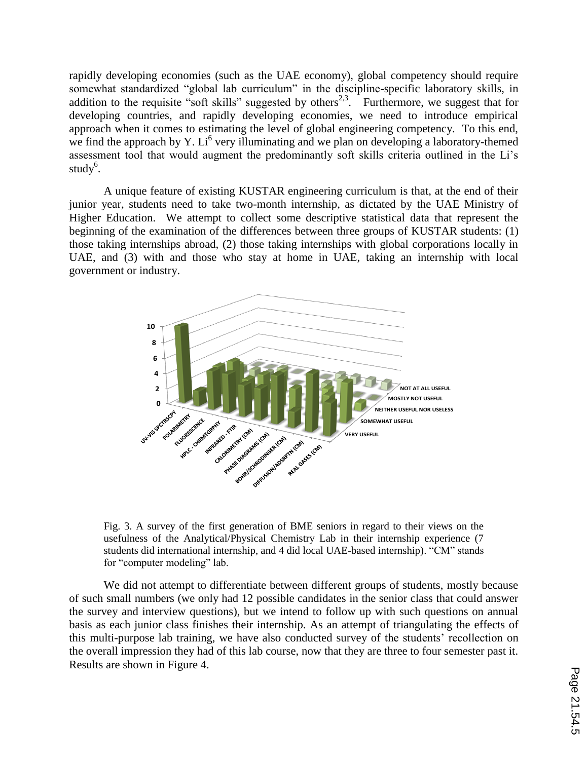rapidly developing economies (such as the UAE economy), global competency should require somewhat standardized "global lab curriculum" in the discipline-specific laboratory skills, in addition to the requisite "soft skills" suggested by others<sup>2,3</sup>. Furthermore, we suggest that for developing countries, and rapidly developing economies, we need to introduce empirical approach when it comes to estimating the level of global engineering competency. To this end, we find the approach by Y. Li<sup>6</sup> very illuminating and we plan on developing a laboratory-themed assessment tool that would augment the predominantly soft skills criteria outlined in the Li's study<sup>6</sup>.

A unique feature of existing KUSTAR engineering curriculum is that, at the end of their junior year, students need to take two-month internship, as dictated by the UAE Ministry of Higher Education. We attempt to collect some descriptive statistical data that represent the beginning of the examination of the differences between three groups of KUSTAR students: (1) those taking internships abroad, (2) those taking internships with global corporations locally in UAE, and (3) with and those who stay at home in UAE, taking an internship with local government or industry.



Fig. 3. A survey of the first generation of BME seniors in regard to their views on the usefulness of the Analytical/Physical Chemistry Lab in their internship experience (7 students did international internship, and 4 did local UAE-based internship). "CM" stands for "computer modeling" lab.

We did not attempt to differentiate between different groups of students, mostly because of such small numbers (we only had 12 possible candidates in the senior class that could answer the survey and interview questions), but we intend to follow up with such questions on annual basis as each junior class finishes their internship. As an attempt of triangulating the effects of this multi-purpose lab training, we have also conducted survey of the students' recollection on the overall impression they had of this lab course, now that they are three to four semester past it. Results are shown in Figure 4.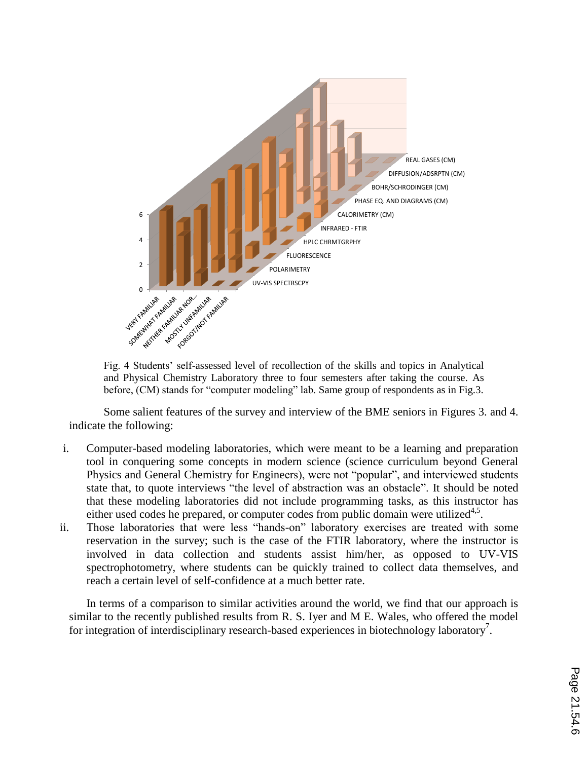

Fig. 4 Students' self-assessed level of recollection of the skills and topics in Analytical and Physical Chemistry Laboratory three to four semesters after taking the course. As before, (CM) stands for "computer modeling" lab. Same group of respondents as in Fig.3.

Some salient features of the survey and interview of the BME seniors in Figures 3. and 4. indicate the following:

- i. Computer-based modeling laboratories, which were meant to be a learning and preparation tool in conquering some concepts in modern science (science curriculum beyond General Physics and General Chemistry for Engineers), were not "popular", and interviewed students state that, to quote interviews "the level of abstraction was an obstacle". It should be noted that these modeling laboratories did not include programming tasks, as this instructor has either used codes he prepared, or computer codes from public domain were utilized $4.5$ .
- ii. Those laboratories that were less "hands-on" laboratory exercises are treated with some reservation in the survey; such is the case of the FTIR laboratory, where the instructor is involved in data collection and students assist him/her, as opposed to UV-VIS spectrophotometry, where students can be quickly trained to collect data themselves, and reach a certain level of self-confidence at a much better rate.

In terms of a comparison to similar activities around the world, we find that our approach is similar to the recently published results from R. S. Iyer and M E. Wales, who offered the model for integration of interdisciplinary research-based experiences in biotechnology laboratory<sup>7</sup>.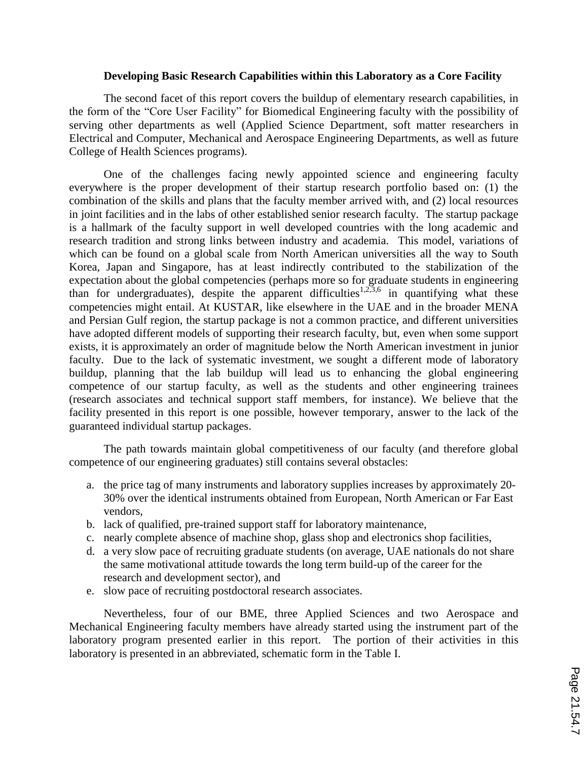## **Developing Basic Research Capabilities within this Laboratory as a Core Facility**

The second facet of this report covers the buildup of elementary research capabilities, in the form of the "Core User Facility" for Biomedical Engineering faculty with the possibility of serving other departments as well (Applied Science Department, soft matter researchers in Electrical and Computer, Mechanical and Aerospace Engineering Departments, as well as future College of Health Sciences programs).

One of the challenges facing newly appointed science and engineering faculty everywhere is the proper development of their startup research portfolio based on: (1) the combination of the skills and plans that the faculty member arrived with, and (2) local resources in joint facilities and in the labs of other established senior research faculty. The startup package is a hallmark of the faculty support in well developed countries with the long academic and research tradition and strong links between industry and academia. This model, variations of which can be found on a global scale from North American universities all the way to South Korea, Japan and Singapore, has at least indirectly contributed to the stabilization of the expectation about the global competencies (perhaps more so for graduate students in engineering than for undergraduates), despite the apparent difficulties<sup>1,2,3,6</sup> in quantifying what these competencies might entail. At KUSTAR, like elsewhere in the UAE and in the broader MENA and Persian Gulf region, the startup package is not a common practice, and different universities have adopted different models of supporting their research faculty, but, even when some support exists, it is approximately an order of magnitude below the North American investment in junior faculty. Due to the lack of systematic investment, we sought a different mode of laboratory buildup, planning that the lab buildup will lead us to enhancing the global engineering competence of our startup faculty, as well as the students and other engineering trainees (research associates and technical support staff members, for instance). We believe that the facility presented in this report is one possible, however temporary, answer to the lack of the guaranteed individual startup packages.

The path towards maintain global competitiveness of our faculty (and therefore global competence of our engineering graduates) still contains several obstacles:

- a. the price tag of many instruments and laboratory supplies increases by approximately 20- 30% over the identical instruments obtained from European, North American or Far East vendors,
- b. lack of qualified, pre-trained support staff for laboratory maintenance,
- c. nearly complete absence of machine shop, glass shop and electronics shop facilities,
- d. a very slow pace of recruiting graduate students (on average, UAE nationals do not share the same motivational attitude towards the long term build-up of the career for the research and development sector), and
- e. slow pace of recruiting postdoctoral research associates.

Nevertheless, four of our BME, three Applied Sciences and two Aerospace and Mechanical Engineering faculty members have already started using the instrument part of the laboratory program presented earlier in this report. The portion of their activities in this laboratory is presented in an abbreviated, schematic form in the Table I.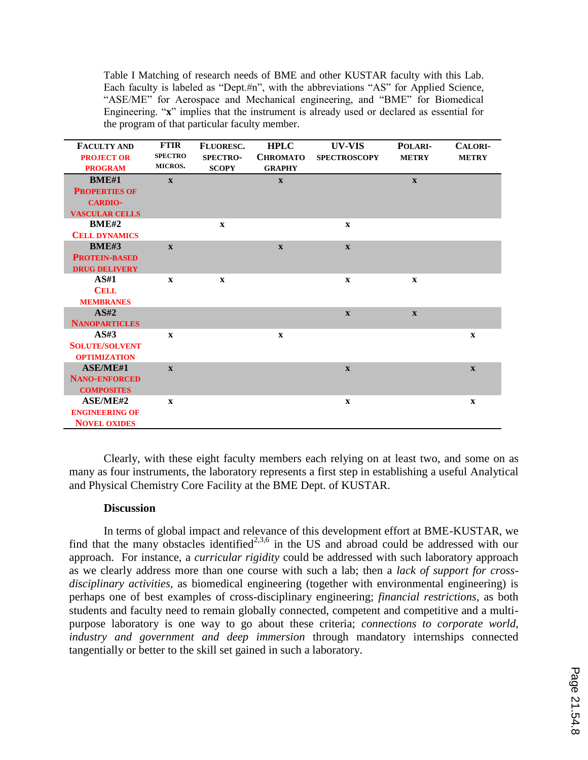Table I Matching of research needs of BME and other KUSTAR faculty with this Lab. Each faculty is labeled as "Dept.#n", with the abbreviations "AS" for Applied Science, "ASE/ME" for Aerospace and Mechanical engineering, and "BME" for Biomedical Engineering. "**x**" implies that the instrument is already used or declared as essential for the program of that particular faculty member.

| <b>FACULTY AND</b>    | <b>FTIR</b>    | <b>FLUORESC.</b> | <b>HPLC</b>     | UV-VIS              | POLARI-      | <b>CALORI-</b> |
|-----------------------|----------------|------------------|-----------------|---------------------|--------------|----------------|
| <b>PROJECT OR</b>     | <b>SPECTRO</b> | <b>SPECTRO-</b>  | <b>CHROMATO</b> | <b>SPECTROSCOPY</b> | <b>METRY</b> | <b>METRY</b>   |
| <b>PROGRAM</b>        | MICROS.        | <b>SCOPY</b>     | <b>GRAPHY</b>   |                     |              |                |
| <b>BME#1</b>          | $\mathbf{x}$   |                  | $\mathbf{x}$    |                     | $\mathbf{X}$ |                |
| <b>PROPERTIES OF</b>  |                |                  |                 |                     |              |                |
| <b>CARDIO-</b>        |                |                  |                 |                     |              |                |
| <b>VASCULAR CELLS</b> |                |                  |                 |                     |              |                |
| <b>BME#2</b>          |                | $\mathbf{x}$     |                 | $\mathbf{x}$        |              |                |
| <b>CELL DYNAMICS</b>  |                |                  |                 |                     |              |                |
| <b>BME#3</b>          | $\mathbf{x}$   |                  | $\mathbf{x}$    | $\mathbf{X}$        |              |                |
| <b>PROTEIN-BASED</b>  |                |                  |                 |                     |              |                |
| <b>DRUG DELIVERY</b>  |                |                  |                 |                     |              |                |
| AS#1                  | $\mathbf{x}$   | $\mathbf{x}$     |                 | $\mathbf{x}$        | $\mathbf{x}$ |                |
| <b>CELL</b>           |                |                  |                 |                     |              |                |
| <b>MEMBRANES</b>      |                |                  |                 |                     |              |                |
| AS#2                  |                |                  |                 | $\mathbf{X}$        | $\mathbf{X}$ |                |
| <b>NANOPARTICLES</b>  |                |                  |                 |                     |              |                |
| AS#3                  | $\mathbf{x}$   |                  | $\mathbf{x}$    |                     |              | $\mathbf{x}$   |
| <b>SOLUTE/SOLVENT</b> |                |                  |                 |                     |              |                |
| <b>OPTIMIZATION</b>   |                |                  |                 |                     |              |                |
| <b>ASE/ME#1</b>       | $\mathbf{X}$   |                  |                 | $\mathbf{X}$        |              | $\mathbf{X}$   |
| <b>NANO-ENFORCED</b>  |                |                  |                 |                     |              |                |
| <b>COMPOSITES</b>     |                |                  |                 |                     |              |                |
| <b>ASE/ME#2</b>       | $\mathbf X$    |                  |                 | $\mathbf X$         |              | $\mathbf X$    |
| <b>ENGINEERING OF</b> |                |                  |                 |                     |              |                |
| <b>NOVEL OXIDES</b>   |                |                  |                 |                     |              |                |

Clearly, with these eight faculty members each relying on at least two, and some on as many as four instruments, the laboratory represents a first step in establishing a useful Analytical and Physical Chemistry Core Facility at the BME Dept. of KUSTAR.

#### **Discussion**

In terms of global impact and relevance of this development effort at BME-KUSTAR, we find that the many obstacles identified<sup>2,3,6</sup> in the US and abroad could be addressed with our approach. For instance, a *curricular rigidity* could be addressed with such laboratory approach as we clearly address more than one course with such a lab; then a *lack of support for crossdisciplinary activities,* as biomedical engineering (together with environmental engineering) is perhaps one of best examples of cross-disciplinary engineering; *financial restrictions*, as both students and faculty need to remain globally connected, competent and competitive and a multipurpose laboratory is one way to go about these criteria; *connections to corporate world, industry and government and deep immersion* through mandatory internships connected tangentially or better to the skill set gained in such a laboratory.